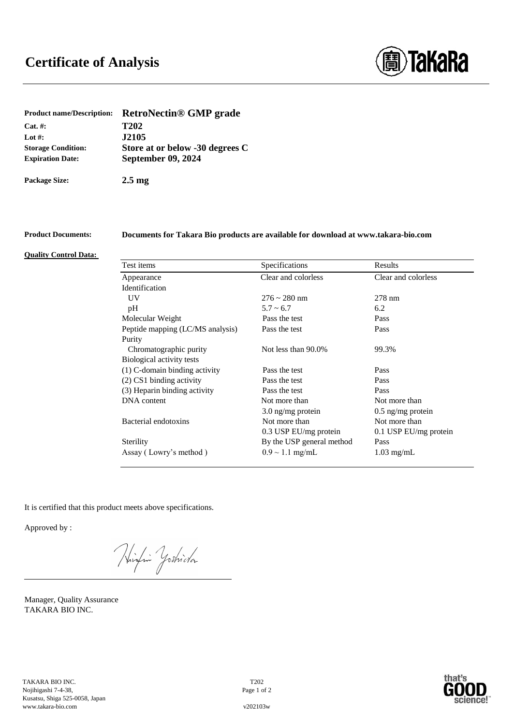

| <b>Product name/Description:</b> | <b>RetroNectin® GMP grade</b>   |
|----------------------------------|---------------------------------|
| $Cat. \#:$                       | <b>T202</b>                     |
| Lot #:                           | <b>J2105</b>                    |
| <b>Storage Condition:</b>        | Store at or below -30 degrees C |
| <b>Expiration Date:</b>          | <b>September 09, 2024</b>       |
| <b>Package Size:</b>             | 2.5 <sub>mg</sub>               |

# **Product Documents: Documents for Takara Bio products are available for download at www.takara-bio.com**

#### **Quality Control Data:**

| Test items                       | Specifications            | Results               |
|----------------------------------|---------------------------|-----------------------|
| Appearance                       | Clear and colorless       | Clear and colorless   |
| Identification                   |                           |                       |
| UV                               | $276 \sim 280$ nm         | $278$ nm              |
| pH                               | $5.7 \sim 6.7$            | 6.2                   |
| Molecular Weight                 | Pass the test             | Pass                  |
| Peptide mapping (LC/MS analysis) | Pass the test             | Pass                  |
| Purity                           |                           |                       |
| Chromatographic purity           | Not less than 90.0%       | 99.3%                 |
| Biological activity tests        |                           |                       |
| (1) C-domain binding activity    | Pass the test             | Pass                  |
| $(2)$ CS1 binding activity       | Pass the test             | Pass                  |
| (3) Heparin binding activity     | Pass the test             | Pass                  |
| DNA content                      | Not more than             | Not more than         |
|                                  | $3.0$ ng/mg protein       | $0.5$ ng/mg protein   |
| Bacterial endotoxins             | Not more than             | Not more than         |
|                                  | 0.3 USP EU/mg protein     | 0.1 USP EU/mg protein |
| Sterility                        | By the USP general method | Pass                  |
| Assay (Lowry's method)           | $0.9 \sim 1.1$ mg/mL      | $1.03 \text{ mg/mL}$  |
|                                  |                           |                       |

It is certified that this product meets above specifications.

Approved by :

Winding Yoshida

Manager, Quality Assurance TAKARA BIO INC.